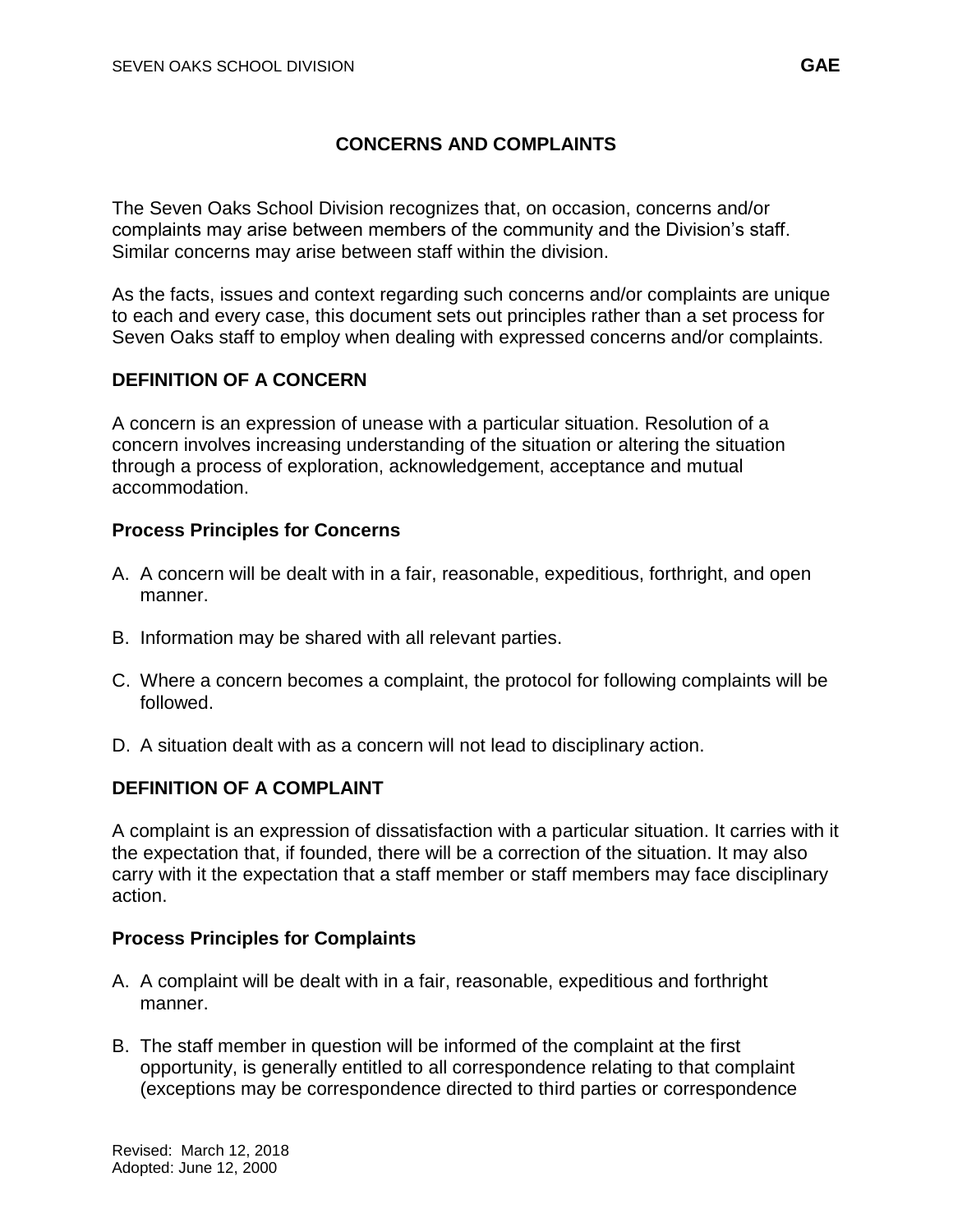### **CONCERNS AND COMPLAINTS**

The Seven Oaks School Division recognizes that, on occasion, concerns and/or complaints may arise between members of the community and the Division's staff. Similar concerns may arise between staff within the division.

As the facts, issues and context regarding such concerns and/or complaints are unique to each and every case, this document sets out principles rather than a set process for Seven Oaks staff to employ when dealing with expressed concerns and/or complaints.

# **DEFINITION OF A CONCERN**

A concern is an expression of unease with a particular situation. Resolution of a concern involves increasing understanding of the situation or altering the situation through a process of exploration, acknowledgement, acceptance and mutual accommodation.

#### **Process Principles for Concerns**

- A. A concern will be dealt with in a fair, reasonable, expeditious, forthright, and open manner.
- B. Information may be shared with all relevant parties.
- C. Where a concern becomes a complaint, the protocol for following complaints will be followed.
- D. A situation dealt with as a concern will not lead to disciplinary action.

# **DEFINITION OF A COMPLAINT**

A complaint is an expression of dissatisfaction with a particular situation. It carries with it the expectation that, if founded, there will be a correction of the situation. It may also carry with it the expectation that a staff member or staff members may face disciplinary action.

#### **Process Principles for Complaints**

- A. A complaint will be dealt with in a fair, reasonable, expeditious and forthright manner.
- B. The staff member in question will be informed of the complaint at the first opportunity, is generally entitled to all correspondence relating to that complaint (exceptions may be correspondence directed to third parties or correspondence